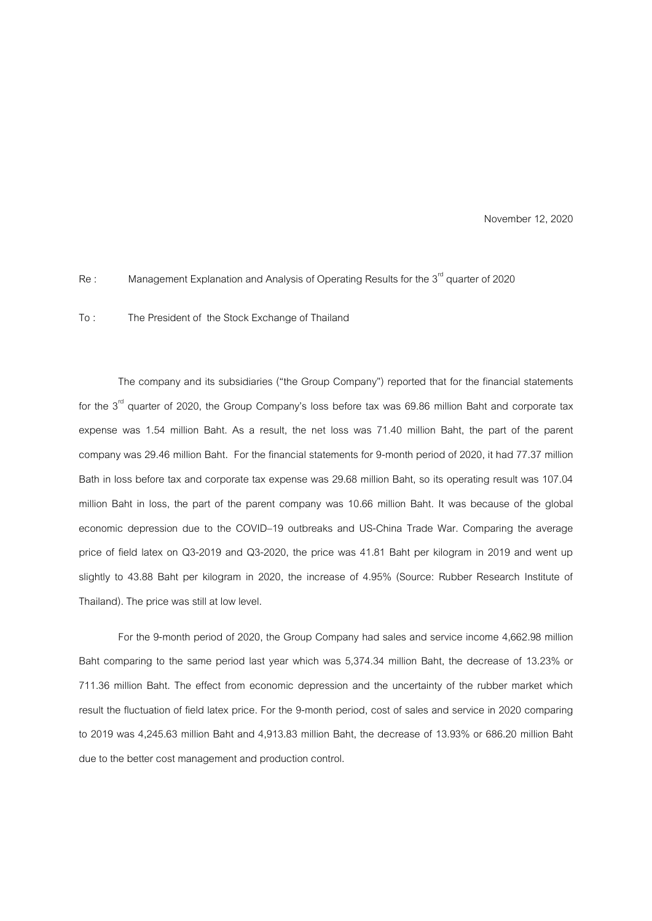November 12, 2020

## Re : Management Explanation and Analysis of Operating Results for the 3<sup>rd</sup> quarter of 2020

To : The President of the Stock Exchange of Thailand

The company and its subsidiaries ("the Group Company") reported that for the financial statements for the  $3<sup>rd</sup>$  quarter of 2020, the Group Company's loss before tax was 69.86 million Baht and corporate tax expense was 1.54 million Baht. As a result, the net loss was 71.40 million Baht, the part of the parent company was 29.46 million Baht. For the financial statements for 9-month period of 2020, it had 77.37 million Bath in loss before tax and corporate tax expense was 29.68 million Baht, so its operating result was 107.04 million Baht in loss, the part of the parent company was 10.66 million Baht. It was because of the global economic depression due to the COVID–19 outbreaks and US-China Trade War. Comparing the average price of field latex on Q3-2019 and Q3-2020, the price was 41.81 Baht per kilogram in 2019 and went up slightly to 43.88 Baht per kilogram in 2020, the increase of 4.95% (Source: Rubber Research Institute of Thailand). The price was still at low level.

For the 9-month period of 2020, the Group Company had sales and service income 4,662.98 million Baht comparing to the same period last year which was 5,374.34 million Baht, the decrease of 13.23% or 711.36 million Baht. The effect from economic depression and the uncertainty of the rubber market which result the fluctuation of field latex price. For the 9-month period, cost of sales and service in 2020 comparing to 2019 was 4,245.63 million Baht and 4,913.83 million Baht, the decrease of 13.93% or 686.20 million Baht due to the better cost management and production control.